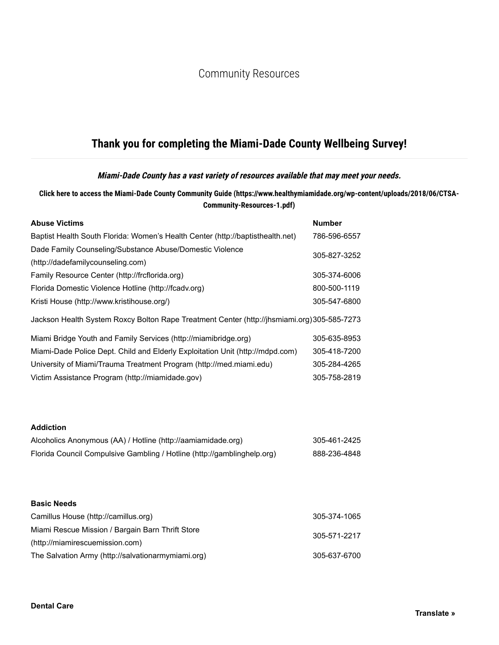# Community Resources

# **Thank you for completing the Miami-Dade County Wellbeing Survey!**

#### **Miami-Dade County has a vast variety of resources available that may meet your needs.**

#### **Click here to access the Miami-Dade County Community Guide (https://www.healthymiamidade.org/wp-content/uploads/2018/06/CTSA-Community-Resources-1.pdf)**

| <b>Abuse Victims</b>                                                                                                                                        | <b>Number</b>                |
|-------------------------------------------------------------------------------------------------------------------------------------------------------------|------------------------------|
| Baptist Health South Florida: Women's Health Center (http://baptisthealth.net)                                                                              | 786-596-6557                 |
| Dade Family Counseling/Substance Abuse/Domestic Violence                                                                                                    | 305-827-3252                 |
| (http://dadefamilycounseling.com)                                                                                                                           |                              |
| Family Resource Center (http://frcflorida.org)                                                                                                              | 305-374-6006                 |
| Florida Domestic Violence Hotline (http://fcadv.org)                                                                                                        | 800-500-1119                 |
| Kristi House (http://www.kristihouse.org/)                                                                                                                  | 305-547-6800                 |
| Jackson Health System Roxcy Bolton Rape Treatment Center (http://jhsmiami.org) 305-585-7273                                                                 |                              |
| Miami Bridge Youth and Family Services (http://miamibridge.org)                                                                                             | 305-635-8953                 |
| Miami-Dade Police Dept. Child and Elderly Exploitation Unit (http://mdpd.com)                                                                               | 305-418-7200                 |
| University of Miami/Trauma Treatment Program (http://med.miami.edu)                                                                                         | 305-284-4265                 |
| Victim Assistance Program (http://miamidade.gov)                                                                                                            | 305-758-2819                 |
| <b>Addiction</b><br>Alcoholics Anonymous (AA) / Hotline (http://aamiamidade.org)<br>Florida Council Compulsive Gambling / Hotline (http://gamblinghelp.org) | 305-461-2425<br>888-236-4848 |
| <b>Basic Needs</b>                                                                                                                                          |                              |
| Camillus House (http://camillus.org)                                                                                                                        | 305-374-1065                 |
| Miami Rescue Mission / Bargain Barn Thrift Store<br>(http://miamirescuemission.com)                                                                         | 305-571-2217                 |
| The Salvation Army (http://salvationarmymiami.org)                                                                                                          | 305-637-6700                 |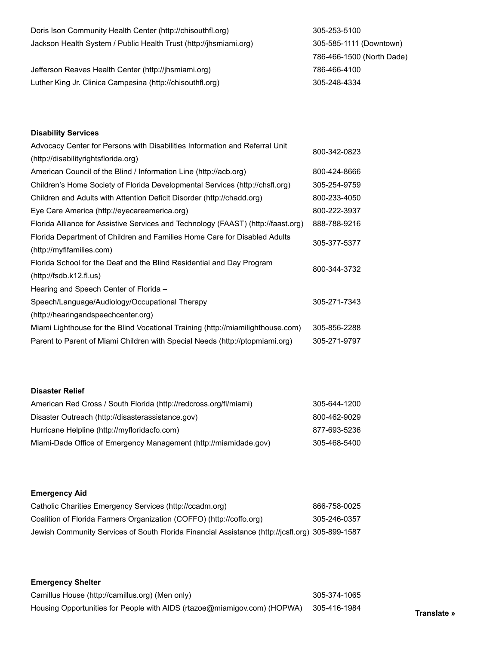| Doris Ison Community Health Center (http://chisouthfl.org)        | 305-253-5100              |
|-------------------------------------------------------------------|---------------------------|
| Jackson Health System / Public Health Trust (http://jhsmiami.org) | 305-585-1111 (Downtown)   |
|                                                                   | 786-466-1500 (North Dade) |
| Jefferson Reaves Health Center (http://jhsmiami.org)              | 786-466-4100              |
| Luther King Jr. Clinica Campesina (http://chisouthfl.org)         | 305-248-4334              |

#### **Disability Services**

| Advocacy Center for Persons with Disabilities Information and Referral Unit       |              |
|-----------------------------------------------------------------------------------|--------------|
| (http://disabilityrightsflorida.org)                                              | 800-342-0823 |
| American Council of the Blind / Information Line (http://acb.org)                 | 800-424-8666 |
| Children's Home Society of Florida Developmental Services (http://chsfl.org)      | 305-254-9759 |
| Children and Adults with Attention Deficit Disorder (http://chadd.org)            | 800-233-4050 |
| Eye Care America (http://eyecareamerica.org)                                      | 800-222-3937 |
| Florida Alliance for Assistive Services and Technology (FAAST) (http://faast.org) | 888-788-9216 |
| Florida Department of Children and Families Home Care for Disabled Adults         | 305-377-5377 |
| (http://myflfamilies.com)                                                         |              |
| Florida School for the Deaf and the Blind Residential and Day Program             | 800-344-3732 |
| (htp://fsdb.k12.fl.us)                                                            |              |
| Hearing and Speech Center of Florida -                                            |              |
| Speech/Language/Audiology/Occupational Therapy                                    | 305-271-7343 |
| (http://hearingandspeechcenter.org)                                               |              |
| Miami Lighthouse for the Blind Vocational Training (http://miamilighthouse.com)   | 305-856-2288 |
| Parent to Parent of Miami Children with Special Needs (http://ptopmiami.org)      | 305-271-9797 |

#### **Disaster Relief**

| American Red Cross / South Florida (http://redcross.org/fl/miami) | 305-644-1200 |
|-------------------------------------------------------------------|--------------|
| Disaster Outreach (http://disasterassistance.gov)                 | 800-462-9029 |
| Hurricane Helpline (http://myfloridacfo.com)                      | 877-693-5236 |
| Miami-Dade Office of Emergency Management (http://miamidade.gov)  | 305-468-5400 |

#### **Emergency Aid**

| Catholic Charities Emergency Services (http://ccadm.org)                                        | 866-758-0025 |
|-------------------------------------------------------------------------------------------------|--------------|
| Coalition of Florida Farmers Organization (COFFO) (http://coffo.org)                            | 305-246-0357 |
| Jewish Community Services of South Florida Financial Assistance (http://jcsfl.org) 305-899-1587 |              |

#### **Emergency Shelter**

Camillus House (http://camillus.org) (Men only) 305-374-1065 Housing Opportunities for People with AIDS (rtazoe@miamigov.com) (HOPWA) 305-416-1984 **Translate »**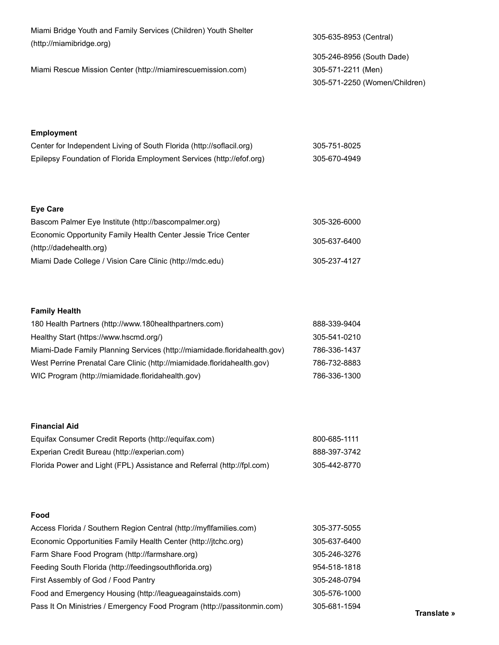| Miami Bridge Youth and Family Services (Children) Youth Shelter | 305-635-8953 (Central)        |
|-----------------------------------------------------------------|-------------------------------|
| (http://miamibridge.org)                                        |                               |
|                                                                 | 305-246-8956 (South Dade)     |
| Miami Rescue Mission Center (http://miamirescuemission.com)     | 305-571-2211 (Men)            |
|                                                                 | 305-571-2250 (Women/Children) |
|                                                                 |                               |
|                                                                 |                               |

### **Employment**

| Center for Independent Living of South Florida (http://soflacil.org) | 305-751-8025 |
|----------------------------------------------------------------------|--------------|
| Epilepsy Foundation of Florida Employment Services (http://efof.org) | 305-670-4949 |

### **Eye Care**

| Bascom Palmer Eye Institute (http://bascompalmer.org)         | 305-326-6000 |
|---------------------------------------------------------------|--------------|
| Economic Opportunity Family Health Center Jessie Trice Center | 305-637-6400 |
| (http://dadehealth.org)                                       |              |
| Miami Dade College / Vision Care Clinic (http://mdc.edu)      | 305-237-4127 |

### **Family Health**

| 180 Health Partners (http://www.180healthpartners.com)                   | 888-339-9404 |
|--------------------------------------------------------------------------|--------------|
| Healthy Start (https://www.hscmd.org/)                                   | 305-541-0210 |
| Miami-Dade Family Planning Services (http://miamidade.floridahealth.gov) | 786-336-1437 |
| West Perrine Prenatal Care Clinic (http://miamidade.floridahealth.gov)   | 786-732-8883 |
| WIC Program (http://miamidade.floridahealth.gov)                         | 786-336-1300 |

#### **Financial Aid**

| Equifax Consumer Credit Reports (http://equifax.com)                   | 800-685-1111 |
|------------------------------------------------------------------------|--------------|
| Experian Credit Bureau (http://experian.com)                           | 888-397-3742 |
| Florida Power and Light (FPL) Assistance and Referral (http://fpl.com) | 305-442-8770 |

#### **Food**

| Access Florida / Southern Region Central (http://myflfamilies.com)      | 305-377-5055 |
|-------------------------------------------------------------------------|--------------|
| Economic Opportunities Family Health Center (http://jtchc.org)          | 305-637-6400 |
| Farm Share Food Program (http://farmshare.org)                          | 305-246-3276 |
| Feeding South Florida (http://feedingsouthflorida.org)                  | 954-518-1818 |
| First Assembly of God / Food Pantry                                     | 305-248-0794 |
| Food and Emergency Housing (http://leagueagainstaids.com)               | 305-576-1000 |
| Pass It On Ministries / Emergency Food Program (http://passitonmin.com) | 305-681-1594 |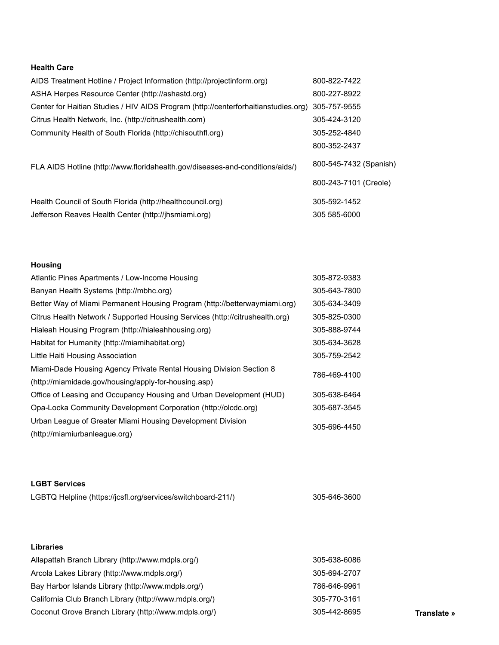#### **Health Care**

| AIDS Treatment Hotline / Project Information (http://projectinform.org)            | 800-822-7422           |
|------------------------------------------------------------------------------------|------------------------|
| ASHA Herpes Resource Center (http://ashastd.org)                                   | 800-227-8922           |
| Center for Haitian Studies / HIV AIDS Program (http://centerforhaitianstudies.org) | 305-757-9555           |
| Citrus Health Network, Inc. (http://citrushealth.com)                              | 305-424-3120           |
| Community Health of South Florida (http://chisouthfl.org)                          | 305-252-4840           |
|                                                                                    | 800-352-2437           |
| FLA AIDS Hotline (http://www.floridahealth.gov/diseases-and-conditions/aids/)      | 800-545-7432 (Spanish) |
|                                                                                    | 800-243-7101 (Creole)  |
| Health Council of South Florida (http://healthcouncil.org)                         | 305-592-1452           |
| Jefferson Reaves Health Center (http://jhsmiami.org)                               | 305 585-6000           |

#### **Housing**

| Atlantic Pines Apartments / Low-Income Housing                               | 305-872-9383 |  |
|------------------------------------------------------------------------------|--------------|--|
| Banyan Health Systems (http://mbhc.org)                                      | 305-643-7800 |  |
| Better Way of Miami Permanent Housing Program (http://betterwaymiami.org)    | 305-634-3409 |  |
| Citrus Health Network / Supported Housing Services (http://citrushealth.org) | 305-825-0300 |  |
| Hialeah Housing Program (http://hialeahhousing.org)                          | 305-888-9744 |  |
| Habitat for Humanity (http://miamihabitat.org)                               | 305-634-3628 |  |
| Little Haiti Housing Association                                             | 305-759-2542 |  |
| Miami-Dade Housing Agency Private Rental Housing Division Section 8          | 786-469-4100 |  |
| (http://miamidade.gov/housing/apply-for-housing.asp)                         |              |  |
| Office of Leasing and Occupancy Housing and Urban Development (HUD)          | 305-638-6464 |  |
| Opa-Locka Community Development Corporation (http://olcdc.org)               | 305-687-3545 |  |
| Urban League of Greater Miami Housing Development Division                   | 305-696-4450 |  |
| (http://miamiurbanleague.org)                                                |              |  |

#### **LGBT Services**

| LGBTQ Helpline (https://jcsfl.org/services/switchboard-211/) | 305-646-3600 |
|--------------------------------------------------------------|--------------|
|                                                              |              |

#### **Libraries**

| Allapattah Branch Library (http://www.mdpls.org/)      | 305-638-6086 |             |
|--------------------------------------------------------|--------------|-------------|
| Arcola Lakes Library (http://www.mdpls.org/)           | 305-694-2707 |             |
| Bay Harbor Islands Library (http://www.mdpls.org/)     | 786-646-9961 |             |
| California Club Branch Library (http://www.mdpls.org/) | 305-770-3161 |             |
| Coconut Grove Branch Library (http://www.mdpls.org/)   | 305-442-8695 | Translate » |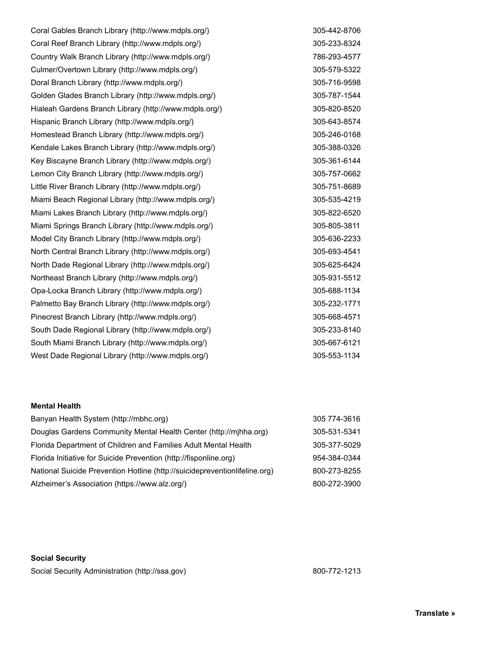Coral Gables Branch Library (http://www.mdpls.org/) 305-442-8706 Coral Reef Branch Library (http://www.mdpls.org/) 305-233-8324 Country Walk Branch Library (http://www.mdpls.org/) 786-293-4577 Culmer/Overtown Library (http://www.mdpls.org/) 305-579-5322 Doral Branch Library (http://www.mdpls.org/) 305-716-9598 Golden Glades Branch Library (http://www.mdpls.org/) 305-787-1544 Hialeah Gardens Branch Library (http://www.mdpls.org/) 305-820-8520 Hispanic Branch Library (http://www.mdpls.org/) 305-643-8574 Homestead Branch Library (http://www.mdpls.org/) 305-246-0168 Kendale Lakes Branch Library (http://www.mdpls.org/) 305-388-0326 Key Biscayne Branch Library (http://www.mdpls.org/) 305-361-6144 Lemon City Branch Library (http://www.mdpls.org/) 305-757-0662 Little River Branch Library (http://www.mdpls.org/) 305-751-8689 Miami Beach Regional Library (http://www.mdpls.org/) 305-535-4219 Miami Lakes Branch Library (http://www.mdpls.org/) 305-822-6520 Miami Springs Branch Library (http://www.mdpls.org/) 305-805-3811 Model City Branch Library (http://www.mdpls.org/) 305-636-2233 North Central Branch Library (http://www.mdpls.org/) 305-693-4541 North Dade Regional Library (http://www.mdpls.org/) 305-625-6424 Northeast Branch Library (http://www.mdpls.org/) 305-931-5512 Opa-Locka Branch Library (http://www.mdpls.org/) 305-688-1134 Palmetto Bay Branch Library (http://www.mdpls.org/) 305-232-1771 Pinecrest Branch Library (http://www.mdpls.org/) 305-668-4571 South Dade Regional Library (http://www.mdpls.org/) 305-233-8140 South Miami Branch Library (http://www.mdpls.org/) 305-667-6121 West Dade Regional Library (http://www.mdpls.org/) 305-553-1134

#### **Mental Health**

| Banyan Health System (http://mbhc.org)                                     | 305 774-3616 |
|----------------------------------------------------------------------------|--------------|
| Douglas Gardens Community Mental Health Center (http://mjhha.org)          | 305-531-5341 |
| Florida Department of Children and Families Adult Mental Health            | 305-377-5029 |
| Florida Initiative for Suicide Prevention (http://fisponline.org)          | 954-384-0344 |
| National Suicide Prevention Hotline (http://suicidepreventionlifeline.org) | 800-273-8255 |
| Alzheimer's Association (https://www.alz.org/)                             | 800-272-3900 |

#### **Social Security**

Social Security Administration (http://ssa.gov) 800-772-1213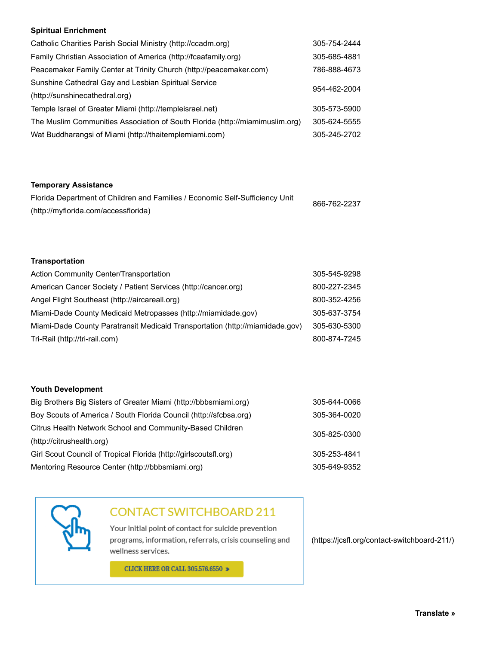#### **Spiritual Enrichment**

| Catholic Charities Parish Social Ministry (http://ccadm.org)                 | 305-754-2444 |  |
|------------------------------------------------------------------------------|--------------|--|
| Family Christian Association of America (http://fcaafamily.org)              | 305-685-4881 |  |
| Peacemaker Family Center at Trinity Church (http://peacemaker.com)           | 786-888-4673 |  |
| Sunshine Cathedral Gay and Lesbian Spiritual Service                         | 954-462-2004 |  |
| (http://sunshinecathedral.org)                                               |              |  |
| Temple Israel of Greater Miami (http://templeisrael.net)                     | 305-573-5900 |  |
| The Muslim Communities Association of South Florida (http://miamimuslim.org) | 305-624-5555 |  |
| Wat Buddharangsi of Miami (http://thaitemplemiami.com)                       | 305-245-2702 |  |

#### **Temporary Assistance**

| Florida Department of Children and Families / Economic Self-Sufficiency Unit | 866-762-2237 |
|------------------------------------------------------------------------------|--------------|
| (http://myflorida.com/accessflorida)                                         |              |

#### **Transportation**

| Action Community Center/Transportation                                       | 305-545-9298 |
|------------------------------------------------------------------------------|--------------|
| American Cancer Society / Patient Services (http://cancer.org)               | 800-227-2345 |
| Angel Flight Southeast (http://aircareall.org)                               | 800-352-4256 |
| Miami-Dade County Medicaid Metropasses (http://miamidade.gov)                | 305-637-3754 |
| Miami-Dade County Paratransit Medicaid Transportation (http://miamidade.gov) | 305-630-5300 |
| Tri-Rail (http://tri-rail.com)                                               | 800-874-7245 |

#### **Youth Development**

| Big Brothers Big Sisters of Greater Miami (http://bbbsmiami.org)  | 305-644-0066 |  |
|-------------------------------------------------------------------|--------------|--|
| Boy Scouts of America / South Florida Council (http://sfcbsa.org) | 305-364-0020 |  |
| Citrus Health Network School and Community-Based Children         | 305-825-0300 |  |
| (http://citrushealth.org)                                         |              |  |
| Girl Scout Council of Tropical Florida (http://girlscoutsfl.org)  | 305-253-4841 |  |
| Mentoring Resource Center (http://bbbsmiami.org)                  | 305-649-9352 |  |
|                                                                   |              |  |

## **CONTACT SWITCHBOARD 211**

Your initial point of contact for suicide prevention programs, information, referrals, crisis counseling and wellness services.

**CLICK HERE OR CALL 305.576.6550 >** 

(https://jcsfl.org/contact-switchboard-211/)